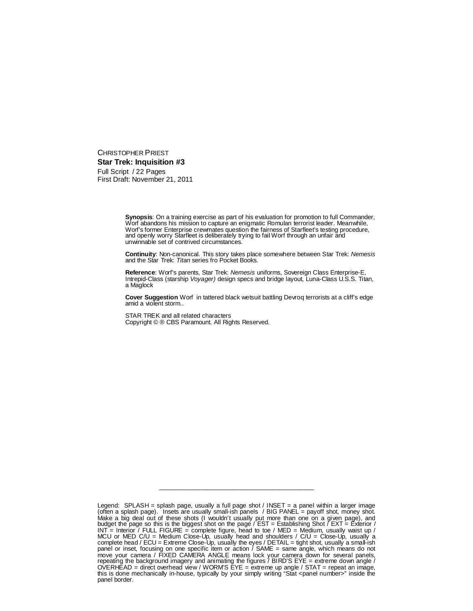CHRISTOPHER PRIEST **Star Trek: Inquisition #3** Full Script / 22 Pages First Draft: November 21, 2011

> **Synopsis**: On a training exercise as part of his evaluation for promotion to full Commander, Worf abandons his mission to capture an enigmatic Romulan terrorist leader. Meanwhile, Worf's former Enterprise crewmates question the fairness of Starfleet's testing procedure, and openly worry Starfleet is deliberately trying to fail Worf through an unfair and unwinnable set of contrived circumstances.

> **Continuity**: Non-canonical. This story takes place somewhere between Star Trek: *Nemesis* and the Star Trek: *Titan* series fro Pocket Books.

> **Reference**: Worf's parents, Star Trek: *Nemesis* uniforms, Sovereign Class Enterprise-E, Intrepid-Class (starship *Voyager)* design specs and bridge layout, Luna-Class U.S.S. Titan, a Maglock

> **Cover Suggestion** Worf in tattered black wetsuit battling Devroq terrorists at a cliff's edge amid a violent storm..

STAR TREK and all related characters Copyright © ® CBS Paramount. All Rights Reserved.

\_\_\_\_\_\_\_\_\_\_\_\_\_\_\_\_\_\_\_\_\_\_\_\_\_\_\_\_\_\_\_\_\_\_\_\_\_\_\_\_\_\_\_\_\_

Legend: SPLASH = splash page, usually a full page shot / INSET = a panel within a larger image (often a splash page). Insets are usually small-ish panels / BIG PANEL = payoff shot, money shot. Make a big deal out of these shots (I wouldn't usually put more than one on a given page), and budget the page so this is the biggest shot on the page / EST = Establishing Shot / EXT = Exterior / INT  $=$  Interior / FULL FIGURE = complete figure, head to toe / MED = Medium, usually waist up / MCU or MED C/U = Medium Close-Up, usually head and shoulders / C/U = Close-Up, usually a complete head / ECU = Extreme Close-Up, usually the eyes / DETAIL = tight shot, usually a small-ish panel or inset, focusing on one specific item or action / SAME = same angle, which means do not move your camera / FIXED CAMERA ANGLE means lock your camera down for several panels, repeating the background imagery and animating the figures / BIRD'S EYE = extreme down angle / OVERHEAD = direct overhead view / WORM'S EYE = extreme up angle / STAT = repeat an image, this is done mechanically in-house, typically by your simply writing "Stat <panel number>" inside the panel border.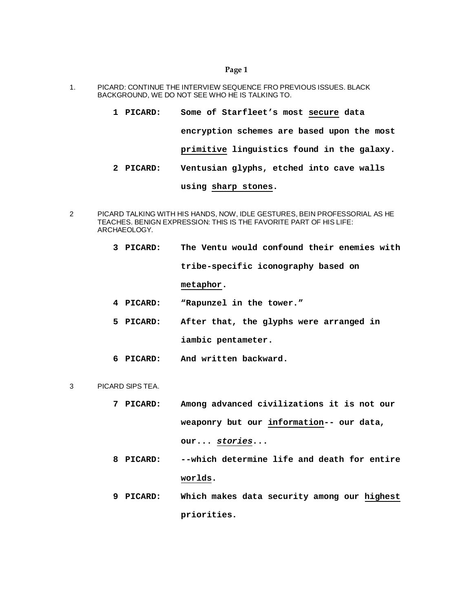- 1. PICARD: CONTINUE THE INTERVIEW SEQUENCE FRO PREVIOUS ISSUES. BLACK BACKGROUND, WE DO NOT SEE WHO HE IS TALKING TO.
	- **1 PICARD: Some of Starfleet's most secure data encryption schemes are based upon the most primitive linguistics found in the galaxy. 2 PICARD: Ventusian glyphs, etched into cave walls**

# **using sharp stones.**

- 2 PICARD TALKING WITH HIS HANDS, NOW, IDLE GESTURES, BEIN PROFESSORIAL AS HE TEACHES. BENIGN EXPRESSION: THIS IS THE FAVORITE PART OF HIS LIFE: ARCHAEOLOGY.
	- **3 PICARD: The Ventu would confound their enemies with tribe-specific iconography based on metaphor. 4 PICARD: "Rapunzel in the tower."**
	- **5 PICARD: After that, the glyphs were arranged in iambic pentameter.**
	- **6 PICARD: And written backward.**
- 3 PICARD SIPS TEA.
	- **7 PICARD: Among advanced civilizations it is not our weaponry but our information-- our data, our...** *stories***...**
	- **8 PICARD: --which determine life and death for entire worlds.**
	- **9 PICARD: Which makes data security among our highest priorities.**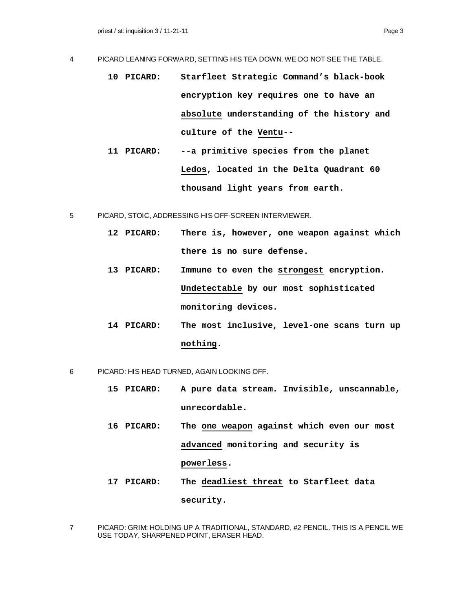- 4 PICARD LEANING FORWARD, SETTING HIS TEA DOWN. WE DO NOT SEE THE TABLE.
	- **10 PICARD: Starfleet Strategic Command's black-book encryption key requires one to have an absolute understanding of the history and culture of the Ventu--**
	- **11 PICARD: --a primitive species from the planet Ledos, located in the Delta Quadrant 60 thousand light years from earth.**
- 5 PICARD, STOIC, ADDRESSING HIS OFF-SCREEN INTERVIEWER.
	- **12 PICARD: There is, however, one weapon against which there is no sure defense.**
	- **13 PICARD: Immune to even the strongest encryption. Undetectable by our most sophisticated monitoring devices.**
	- **14 PICARD: The most inclusive, level-one scans turn up nothing.**
- 6 PICARD: HIS HEAD TURNED, AGAIN LOOKING OFF.
	- **15 PICARD: A pure data stream. Invisible, unscannable, unrecordable.**
	- **16 PICARD: The one weapon against which even our most advanced monitoring and security is powerless.**
	- **17 PICARD: The deadliest threat to Starfleet data security.**
- 7 PICARD: GRIM: HOLDING UP A TRADITIONAL, STANDARD, #2 PENCIL. THIS IS A PENCIL WE USE TODAY, SHARPENED POINT, ERASER HEAD.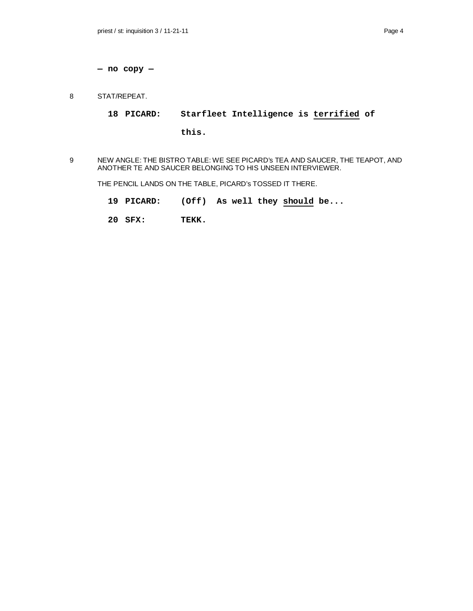**— no copy —**

8 STAT/REPEAT.

**18 PICARD: Starfleet Intelligence is terrified of**

**this.**

9 NEW ANGLE: THE BISTRO TABLE: WE SEE PICARD's TEA AND SAUCER, THE TEAPOT, AND ANOTHER TE AND SAUCER BELONGING TO HIS UNSEEN INTERVIEWER.

THE PENCIL LANDS ON THE TABLE, PICARD's TOSSED IT THERE.

- **19 PICARD: (Off) As well they should be...**
- **20 SFX: TEKK.**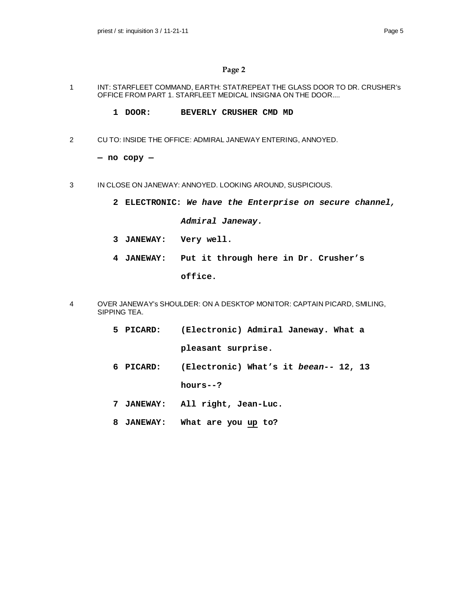- 1 INT: STARFLEET COMMAND, EARTH: STAT/REPEAT THE GLASS DOOR TO DR. CRUSHER's OFFICE FROM PART 1. STARFLEET MEDICAL INSIGNIA ON THE DOOR....
	- **1 DOOR: BEVERLY CRUSHER CMD MD**
- 2 CU TO: INSIDE THE OFFICE: ADMIRAL JANEWAY ENTERING, ANNOYED.

**— no copy —**

- 3 IN CLOSE ON JANEWAY: ANNOYED. LOOKING AROUND, SUSPICIOUS.
	- **2 ELECTRONIC:** *We have the Enterprise on secure channel,*

*Admiral Janeway.*

- **3 JANEWAY: Very well.**
- **4 JANEWAY: Put it through here in Dr. Crusher's office.**
- 4 OVER JANEWAY's SHOULDER: ON A DESKTOP MONITOR: CAPTAIN PICARD, SMILING, SIPPING TEA.
	- **5 PICARD: (Electronic) Admiral Janeway. What a pleasant surprise.**
	- **6 PICARD: (Electronic) What's it** *beean--* **12, 13**

**hours--?**

- **7 JANEWAY: All right, Jean-Luc.**
- **8 JANEWAY: What are you up to?**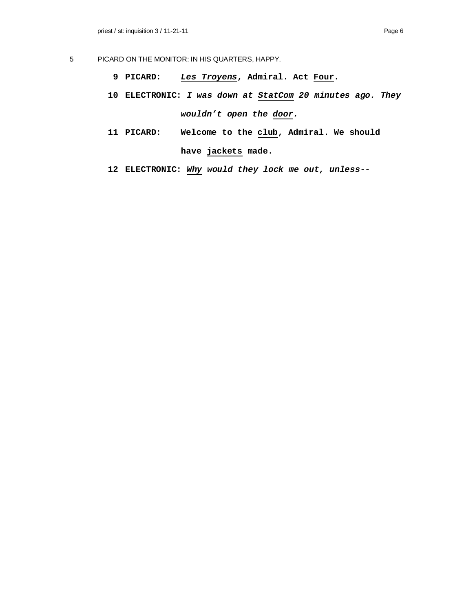- 5 PICARD ON THE MONITOR: IN HIS QUARTERS, HAPPY.
	- **9 PICARD:** *Les Troyens***, Admiral. Act Four.**
	- **10 ELECTRONIC:** *I was down at StatCom 20 minutes ago. They wouldn't open the door.*
	- **11 PICARD: Welcome to the club, Admiral. We should have jackets made.**
	- **12 ELECTRONIC:** *Why would they lock me out, unless--*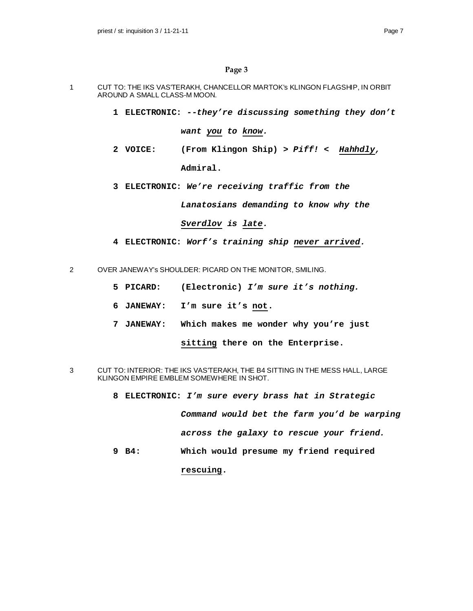- 1 CUT TO: THE IKS VAS'TERAKH, CHANCELLOR MARTOK's KLINGON FLAGSHIP, IN ORBIT AROUND A SMALL CLASS-M MOON.
	- **1 ELECTRONIC:** *--they're discussing something they don't*

*want you to know.*

- **2 VOICE: (From Klingon Ship)** *> Piff! < Hahhdly,* **Admiral.**
- **3 ELECTRONIC:** *We're receiving traffic from the*

*Lanatosians demanding to know why the*

*Sverdlov is late.*

- **4 ELECTRONIC:** *Worf's training ship never arrived.*
- 2 OVER JANEWAY's SHOULDER: PICARD ON THE MONITOR, SMILING.
	- **5 PICARD: (Electronic)** *I'm sure it's nothing.*
	- **6 JANEWAY: I'm sure it's not.**
	- **7 JANEWAY: Which makes me wonder why you're just**

**sitting there on the Enterprise.**

- 3 CUT TO: INTERIOR: THE IKS VAS'TERAKH, THE B4 SITTING IN THE MESS HALL, LARGE KLINGON EMPIRE EMBLEM SOMEWHERE IN SHOT.
	- **8 ELECTRONIC:** *I'm sure every brass hat in Strategic*

*Command would bet the farm you'd be warping*

*across the galaxy to rescue your friend.*

**9 B4: Which would presume my friend required**

**rescuing.**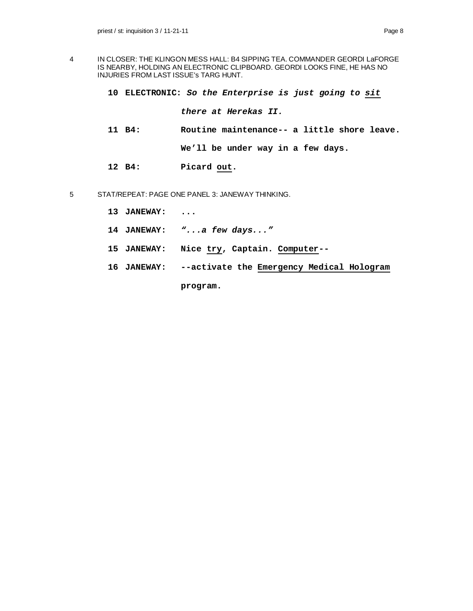- 4 IN CLOSER: THE KLINGON MESS HALL: B4 SIPPING TEA. COMMANDER GEORDI LaFORGE IS NEARBY, HOLDING AN ELECTRONIC CLIPBOARD. GEORDI LOOKS FINE, HE HAS NO INJURIES FROM LAST ISSUE's TARG HUNT.
	- **10 ELECTRONIC:** *So the Enterprise is just going to sit*

*there at Herekas II.*

- **11 B4: Routine maintenance-- a little shore leave. We'll be under way in a few days.**
- **12 B4: Picard out.**
- 5 STAT/REPEAT: PAGE ONE PANEL 3: JANEWAY THINKING.
	- **13 JANEWAY: ...**
	- **14 JANEWAY:** *"...a few days..."*
	- **15 JANEWAY: Nice try, Captain. Computer--**
	- **16 JANEWAY: --activate the Emergency Medical Hologram**

**program.**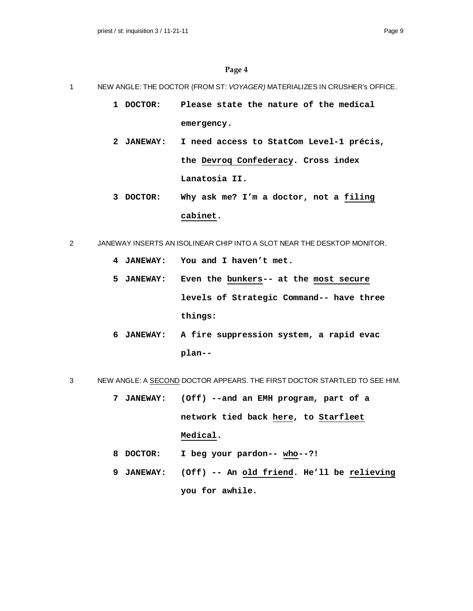- 1 NEW ANGLE: THE DOCTOR (FROM ST: *VOYAGER)* MATERIALIZES IN CRUSHER's OFFICE.
	- **1 DOCTOR: Please state the nature of the medical emergency.**
	- **2 JANEWAY: I need access to StatCom Level-1 précis, the Devroq Confederacy. Cross index Lanatosia II.**
	- **3 DOCTOR: Why ask me? I'm a doctor, not a filing cabinet.**
- 2 JANEWAY INSERTS AN ISOLINEAR CHIP INTO A SLOT NEAR THE DESKTOP MONITOR.
	- **4 JANEWAY: You and I haven't met.**
	- **5 JANEWAY: Even the bunkers-- at the most secure levels of Strategic Command-- have three things:**
	- **6 JANEWAY: A fire suppression system, a rapid evac plan--**

# 3 NEW ANGLE: A SECOND DOCTOR APPEARS. THE FIRST DOCTOR STARTLED TO SEE HIM.

- **7 JANEWAY: (Off) --and an EMH program, part of a network tied back here, to Starfleet Medical.**
- **8 DOCTOR: I beg your pardon-- who--?!**
- **9 JANEWAY: (Off) -- An old friend. He'll be relieving you for awhile.**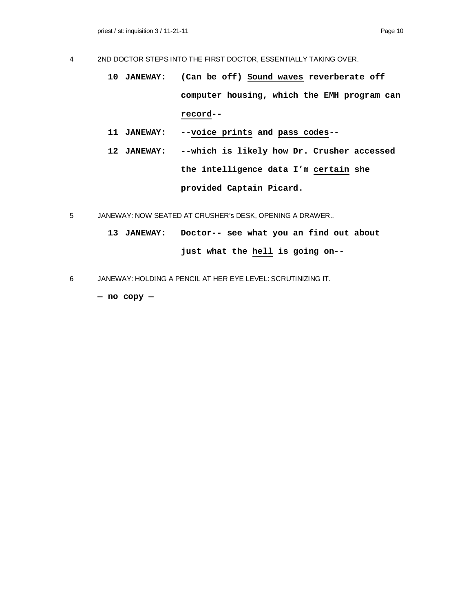- 4 2ND DOCTOR STEPS INTO THE FIRST DOCTOR, ESSENTIALLY TAKING OVER.
	- **10 JANEWAY: (Can be off) Sound waves reverberate off computer housing, which the EMH program can record--**
	- **11 JANEWAY: --voice prints and pass codes--**
	- **12 JANEWAY: --which is likely how Dr. Crusher accessed the intelligence data I'm certain she provided Captain Picard.**
- 5 JANEWAY: NOW SEATED AT CRUSHER's DESK, OPENING A DRAWER..
	- **13 JANEWAY: Doctor-- see what you an find out about just what the hell is going on--**
- 6 JANEWAY: HOLDING A PENCIL AT HER EYE LEVEL: SCRUTINIZING IT.

**— no copy —**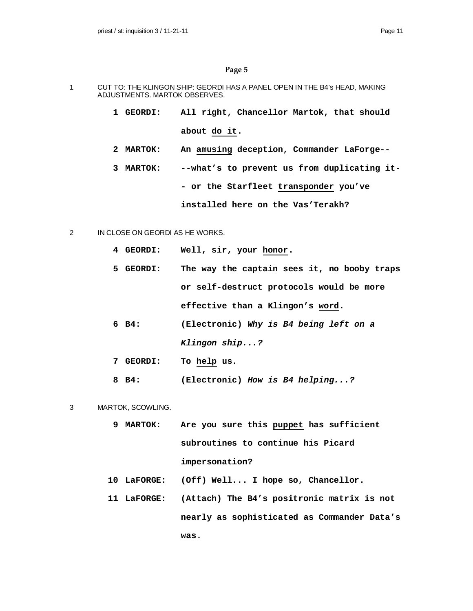- 1 CUT TO: THE KLINGON SHIP: GEORDI HAS A PANEL OPEN IN THE B4's HEAD, MAKING ADJUSTMENTS. MARTOK OBSERVES.
	- **1 GEORDI: All right, Chancellor Martok, that should about do it.**
	- **2 MARTOK: An amusing deception, Commander LaForge--**
	- **3 MARTOK: --what's to prevent us from duplicating it- - or the Starfleet transponder you've installed here on the Vas'Terakh?**
- 2 IN CLOSE ON GEORDI AS HE WORKS.
	- **4 GEORDI: Well, sir, your honor.**
	- **5 GEORDI: The way the captain sees it, no booby traps or self-destruct protocols would be more effective than a Klingon's word.**
	- **6 B4: (Electronic)** *Why is B4 being left on a Klingon ship...?*
	- **7 GEORDI: To help us.**
	- **8 B4: (Electronic)** *How is B4 helping...?*
- 3 MARTOK, SCOWLING.
	- **9 MARTOK: Are you sure this puppet has sufficient subroutines to continue his Picard impersonation?**
	- **10 LaFORGE: (Off) Well... I hope so, Chancellor.**
	- **11 LaFORGE: (Attach) The B4's positronic matrix is not nearly as sophisticated as Commander Data's was.**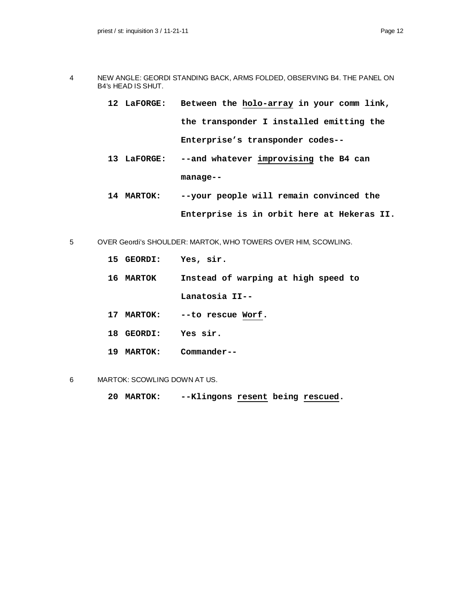- 4 NEW ANGLE: GEORDI STANDING BACK, ARMS FOLDED, OBSERVING B4. THE PANEL ON B4's HEAD IS SHUT.
	- **12 LaFORGE: Between the holo-array in your comm link, the transponder I installed emitting the Enterprise's transponder codes--**
	- **13 LaFORGE: --and whatever improvising the B4 can manage--**
	- **14 MARTOK: --your people will remain convinced the Enterprise is in orbit here at Hekeras II.**
- 5 OVER Geordi's SHOULDER: MARTOK, WHO TOWERS OVER HIM, SCOWLING.
	- **15 GEORDI: Yes, sir. 16 MARTOK Instead of warping at high speed to Lanatosia II-- 17 MARTOK: --to rescue Worf. 18 GEORDI: Yes sir. 19 MARTOK: Commander--**
- 6 MARTOK: SCOWLING DOWN AT US.
	- **20 MARTOK: --Klingons resent being rescued.**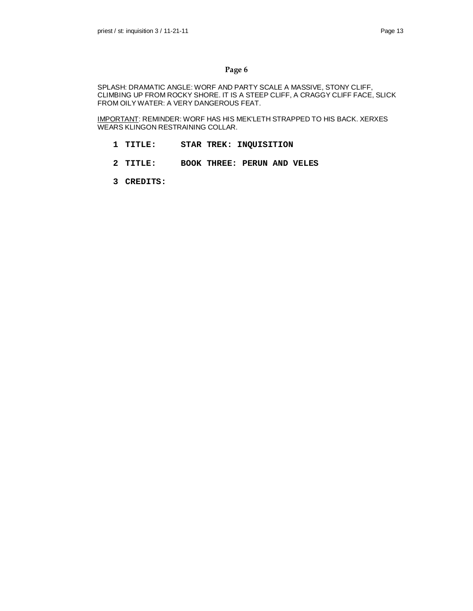SPLASH: DRAMATIC ANGLE: WORF AND PARTY SCALE A MASSIVE, STONY CLIFF, CLIMBING UP FROM ROCKY SHORE. IT IS A STEEP CLIFF, A CRAGGY CLIFF FACE, SLICK FROM OILY WATER: A VERY DANGEROUS FEAT.

IMPORTANT: REMINDER: WORF HAS HIS MEK'LETH STRAPPED TO HIS BACK. XERXES WEARS KLINGON RESTRAINING COLLAR.

- **1 TITLE: STAR TREK: INQUISITION**
- **2 TITLE: BOOK THREE: PERUN AND VELES**
- **3 CREDITS:**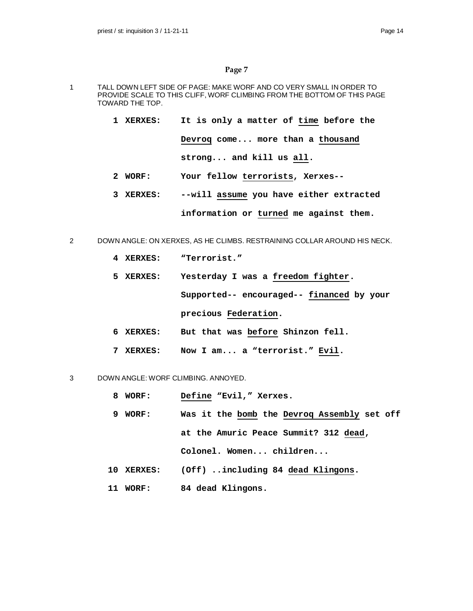- 1 TALL DOWN LEFT SIDE OF PAGE: MAKE WORF AND CO VERY SMALL IN ORDER TO PROVIDE SCALE TO THIS CLIFF, WORF CLIMBING FROM THE BOTTOM OF THIS PAGE TOWARD THE TOP.
	- **1 XERXES: It is only a matter of time before the Devroq come... more than a thousand strong... and kill us all.**
	- **2 WORF: Your fellow terrorists, Xerxes--**
	- **3 XERXES: --will assume you have either extracted information or turned me against them.**
- 2 DOWN ANGLE: ON XERXES, AS HE CLIMBS. RESTRAINING COLLAR AROUND HIS NECK.
	- **4 XERXES: "Terrorist."**
	- **5 XERXES: Yesterday I was a freedom fighter.**

**Supported-- encouraged-- financed by your precious Federation.**

- **6 XERXES: But that was before Shinzon fell.**
- **7 XERXES: Now I am... a "terrorist." Evil.**

# 3 DOWN ANGLE: WORF CLIMBING. ANNOYED.

- **8 WORF: Define "Evil," Xerxes.**
- **9 WORF: Was it the bomb the Devroq Assembly set off at the Amuric Peace Summit? 312 dead, Colonel. Women... children...**
- **10 XERXES: (Off) ..including 84 dead Klingons.**
- **11 WORF: 84 dead Klingons.**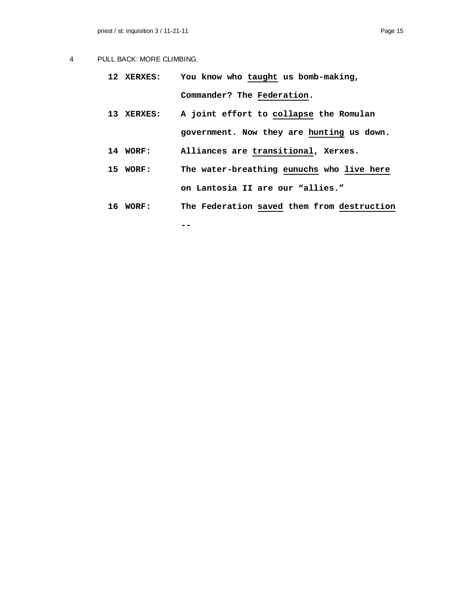# 4 PULL BACK: MORE CLIMBING.

- **12 XERXES: You know who taught us bomb-making, Commander? The Federation.**
- **13 XERXES: A joint effort to collapse the Romulan government. Now they are hunting us down.**
- **14 WORF: Alliances are transitional, Xerxes.**
- **15 WORF: The water-breathing eunuchs who live here on Lantosia II are our "allies."**
- **16 WORF: The Federation saved them from destruction**

**--**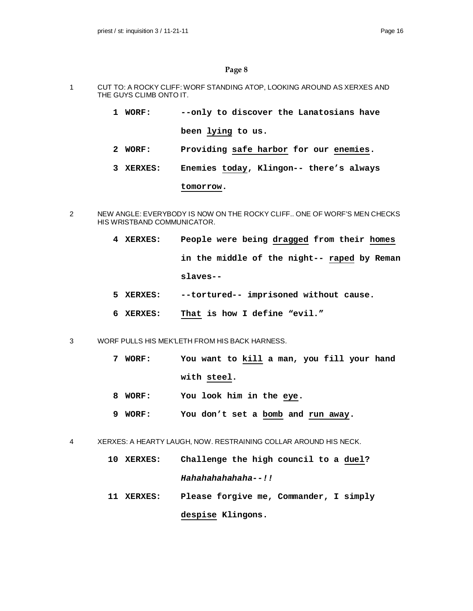- 1 CUT TO: A ROCKY CLIFF: WORF STANDING ATOP, LOOKING AROUND AS XERXES AND THE GUYS CLIMB ONTO IT.
	- **1 WORF: --only to discover the Lanatosians have been lying to us.**
	- **2 WORF: Providing safe harbor for our enemies.**
	- **3 XERXES: Enemies today, Klingon-- there's always**

## **tomorrow.**

- 2 NEW ANGLE: EVERYBODY IS NOW ON THE ROCKY CLIFF.. ONE OF WORF'S MEN CHECKS HIS WRISTBAND COMMUNICATOR.
	- **4 XERXES: People were being dragged from their homes in the middle of the night-- raped by Reman slaves--**
	- **5 XERXES: --tortured-- imprisoned without cause.**
	- **6 XERXES: That is how I define "evil."**
- 3 WORF PULLS HIS MEK'LETH FROM HIS BACK HARNESS.
	- **7 WORF: You want to kill a man, you fill your hand with steel.**
	- **8 WORF: You look him in the eye.**
	- **9 WORF: You don't set a bomb and run away.**
- 4 XERXES: A HEARTY LAUGH, NOW. RESTRAINING COLLAR AROUND HIS NECK.
	- **10 XERXES: Challenge the high council to a duel?** *Hahahahahahaha--!!*
	- **11 XERXES: Please forgive me, Commander, I simply despise Klingons.**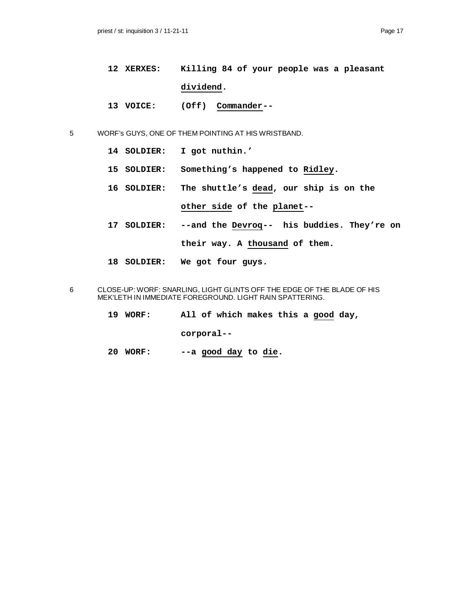- **12 XERXES: Killing 84 of your people was a pleasant dividend.**
- **13 VOICE: (Off) Commander--**

5 WORF's GUYS, ONE OF THEM POINTING AT HIS WRISTBAND.

- **14 SOLDIER: I got nuthin.'**
- **15 SOLDIER: Something's happened to Ridley.**
- **16 SOLDIER: The shuttle's dead, our ship is on the**

**other side of the planet--**

- **17 SOLDIER: --and the Devroq-- his buddies. They're on their way. A thousand of them.**
- **18 SOLDIER: We got four guys.**
- 6 CLOSE-UP: WORF: SNARLING, LIGHT GLINTS OFF THE EDGE OF THE BLADE OF HIS MEK'LETH IN IMMEDIATE FOREGROUND. LIGHT RAIN SPATTERING.
	- **19 WORF: All of which makes this a good day,**

**corporal--**

**20 WORF: --a good day to die.**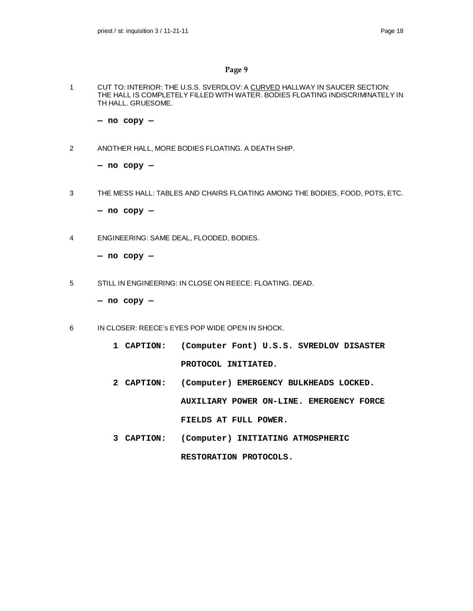1 CUT TO: INTERIOR: THE U.S.S. SVERDLOV: A CURVED HALLWAY IN SAUCER SECTION: THE HALL IS COMPLETELY FILLED WITH WATER. BODIES FLOATING INDISCRIMINATELY IN TH HALL. GRUESOME.

**— no copy —**

2 ANOTHER HALL, MORE BODIES FLOATING. A DEATH SHIP.

**— no copy —**

3 THE MESS HALL: TABLES AND CHAIRS FLOATING AMONG THE BODIES, FOOD, POTS, ETC.

**— no copy —**

4 ENGINEERING: SAME DEAL, FLOODED, BODIES.

**— no copy —**

5 STILL IN ENGINEERING: IN CLOSE ON REECE: FLOATING. DEAD.

**— no copy —**

- 6 IN CLOSER: REECE's EYES POP WIDE OPEN IN SHOCK.
	- **1 CAPTION: (Computer Font) U.S.S. SVREDLOV DISASTER PROTOCOL INITIATED.**
	- **2 CAPTION: (Computer) EMERGENCY BULKHEADS LOCKED. AUXILIARY POWER ON-LINE. EMERGENCY FORCE FIELDS AT FULL POWER.**
	- **3 CAPTION: (Computer) INITIATING ATMOSPHERIC RESTORATION PROTOCOLS.**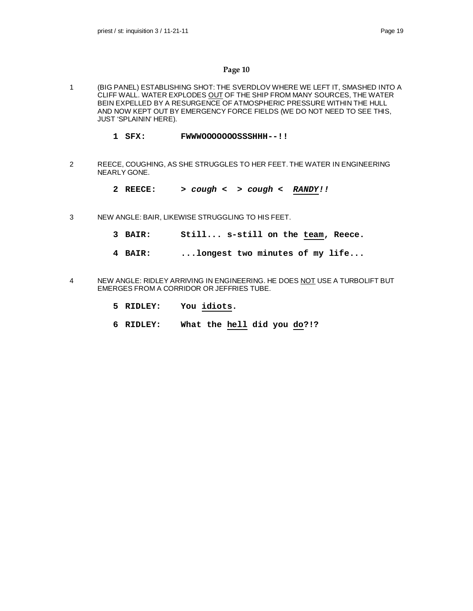- 1 (BIG PANEL) ESTABLISHING SHOT: THE SVERDLOV WHERE WE LEFT IT, SMASHED INTO A CLIFF WALL. WATER EXPLODES OUT OF THE SHIP FROM MANY SOURCES, THE WATER BEIN EXPELLED BY A RESURGENCE OF ATMOSPHERIC PRESSURE WITHIN THE HULL AND NOW KEPT OUT BY EMERGENCY FORCE FIELDS (WE DO NOT NEED TO SEE THIS, JUST 'SPLAININ' HERE).
	- **1 SFX: FWWWOOOOOOOSSSHHH--!!**
- 2 REECE, COUGHING, AS SHE STRUGGLES TO HER FEET. THE WATER IN ENGINEERING NEARLY GONE.
	- **2 REECE:** *> cough < > cough < RANDY!!*
- 3 NEW ANGLE: BAIR, LIKEWISE STRUGGLING TO HIS FEET.
	- **3 BAIR: Still... s-still on the team, Reece.**
	- **4 BAIR: ...longest two minutes of my life...**
- 4 NEW ANGLE: RIDLEY ARRIVING IN ENGINEERING. HE DOES NOT USE A TURBOLIFT BUT EMERGES FROM A CORRIDOR OR JEFFRIES TUBE.
	- **5 RIDLEY: You idiots.**
	- **6 RIDLEY: What the hell did you do?!?**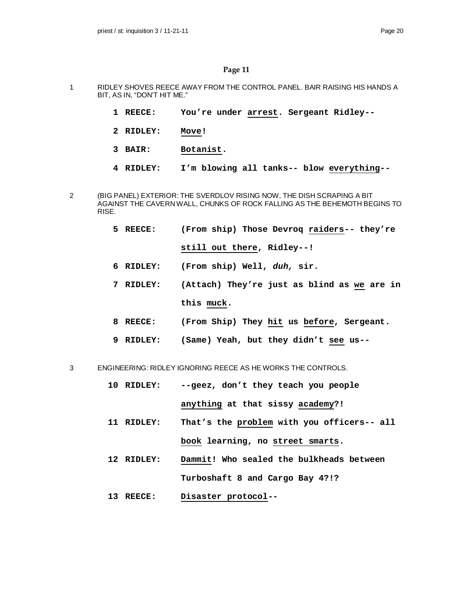- 1 RIDLEY SHOVES REECE AWAY FROM THE CONTROL PANEL. BAIR RAISING HIS HANDS A BIT, AS IN, "DON'T HIT ME."
	- **1 REECE: You're under arrest. Sergeant Ridley--**
	- **2 RIDLEY: Move!**
	- **3 BAIR: Botanist.**
	- **4 RIDLEY: I'm blowing all tanks-- blow everything--**
- 2 (BIG PANEL) EXTERIOR: THE SVERDLOV RISING NOW, THE DISH SCRAPING A BIT AGAINST THE CAVERN WALL, CHUNKS OF ROCK FALLING AS THE BEHEMOTH BEGINS TO RISE.
	- **5 REECE: (From ship) Those Devroq raiders-- they're still out there, Ridley--!**
	- **6 RIDLEY: (From ship) Well,** *duh,* **sir.**
	- **7 RIDLEY: (Attach) They're just as blind as we are in this muck.**
	- **8 REECE: (From Ship) They hit us before, Sergeant.**
	- **9 RIDLEY: (Same) Yeah, but they didn't see us--**

3 ENGINEERING: RIDLEY IGNORING REECE AS HE WORKS THE CONTROLS.

- **10 RIDLEY: --geez, don't they teach you people anything at that sissy academy?!**
- **11 RIDLEY: That's the problem with you officers-- all book learning, no street smarts.**
- **12 RIDLEY: Dammit! Who sealed the bulkheads between Turboshaft 8 and Cargo Bay 4?!?**
- **13 REECE: Disaster protocol--**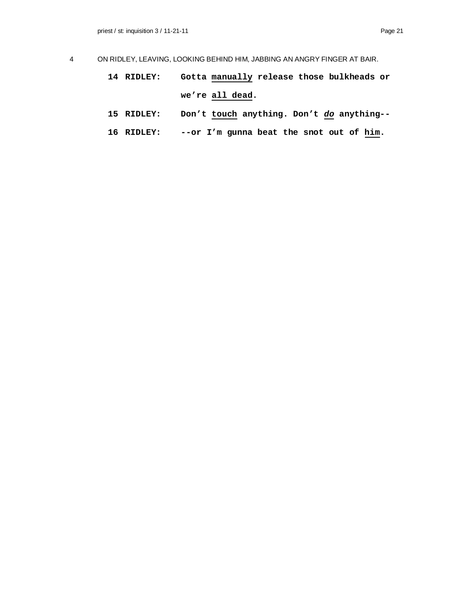- 4 ON RIDLEY, LEAVING, LOOKING BEHIND HIM, JABBING AN ANGRY FINGER AT BAIR.
	- **14 RIDLEY: Gotta manually release those bulkheads or we're all dead.**
	- **15 RIDLEY: Don't touch anything. Don't** *do* **anything--**
	- **16 RIDLEY: --or I'm gunna beat the snot out of him.**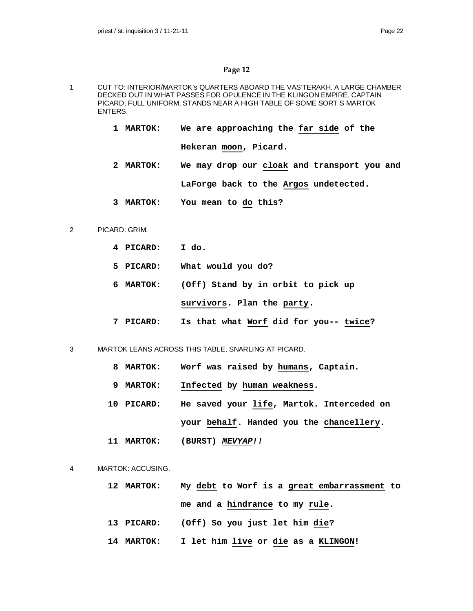- 1 CUT TO: INTERIOR/MARTOK's QUARTERS ABOARD THE VAS'TERAKH. A LARGE CHAMBER DECKED OUT IN WHAT PASSES FOR OPULENCE IN THE KLINGON EMPIRE. CAPTAIN PICARD, FULL UNIFORM, STANDS NEAR A HIGH TABLE OF SOME SORT S MARTOK ENTERS.
	- **1 MARTOK: We are approaching the far side of the Hekeran moon, Picard.**
	- **2 MARTOK: We may drop our cloak and transport you and LaForge back to the Argos undetected.**
	- **3 MARTOK: You mean to do this?**

#### 2 PICARD: GRIM.

- **4 PICARD: I do.**
- **5 PICARD: What would you do?**
- **6 MARTOK: (Off) Stand by in orbit to pick up survivors. Plan the party.**
- **7 PICARD: Is that what Worf did for you-- twice?**
- 3 MARTOK LEANS ACROSS THIS TABLE, SNARLING AT PICARD.
	- **8 MARTOK: Worf was raised by humans, Captain.**
	- **9 MARTOK: Infected by human weakness.**
	- **10 PICARD: He saved your life, Martok. Interceded on your behalf. Handed you the chancellery.**
	- **11 MARTOK: (BURST)** *MEVYAP!!*
- 4 MARTOK: ACCUSING.
	- **12 MARTOK: My debt to Worf is a great embarrassment to me and a hindrance to my rule.**
	- **13 PICARD: (Off) So you just let him die?**
	- **14 MARTOK: I let him live or die as a KLINGON!**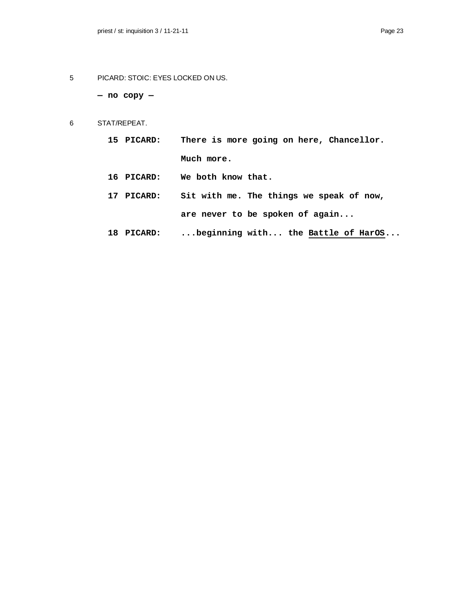5 PICARD: STOIC: EYES LOCKED ON US.

**— no copy —**

- 6 STAT/REPEAT.
	- **15 PICARD: There is more going on here, Chancellor. Much more.**
	- **16 PICARD: We both know that.**
	- **17 PICARD: Sit with me. The things we speak of now, are never to be spoken of again...**
	- **18 PICARD: ...beginning with... the Battle of HarOS...**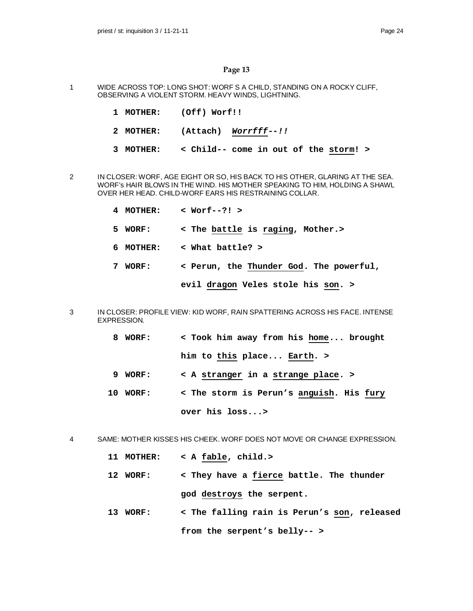- 1 WIDE ACROSS TOP: LONG SHOT: WORF S A CHILD, STANDING ON A ROCKY CLIFF, OBSERVING A VIOLENT STORM. HEAVY WINDS, LIGHTNING.
	- **1 MOTHER: (Off) Worf!!**
	- **2 MOTHER: (Attach)** *Worrfff--!!*
	- **3 MOTHER: < Child-- come in out of the storm! >**
- 2 IN CLOSER: WORF, AGE EIGHT OR SO, HIS BACK TO HIS OTHER, GLARING AT THE SEA. WORF's HAIR BLOWS IN THE WIND. HIS MOTHER SPEAKING TO HIM, HOLDING A SHAWL OVER HER HEAD. CHILD-WORF EARS HIS RESTRAINING COLLAR.
	- **4 MOTHER: < Worf--?! >**
	- **5 WORF: < The battle is raging, Mother.>**
	- **6 MOTHER: < What battle? >**
	- **7 WORF: < Perun, the Thunder God. The powerful,**

**evil dragon Veles stole his son. >**

- 3 IN CLOSER: PROFILE VIEW: KID WORF, RAIN SPATTERING ACROSS HIS FACE. INTENSE EXPRESSION.
	- **8 WORF: < Took him away from his home... brought him to this place... Earth. >**
	- **9 WORF: < A stranger in a strange place. >**
	- **10 WORF: < The storm is Perun's anguish. His fury over his loss...>**

4 SAME: MOTHER KISSES HIS CHEEK. WORF DOES NOT MOVE OR CHANGE EXPRESSION.

- **11 MOTHER: < A fable, child.>**
- **12 WORF: < They have a fierce battle. The thunder god destroys the serpent.**
- **13 WORF: < The falling rain is Perun's son, released from the serpent's belly-- >**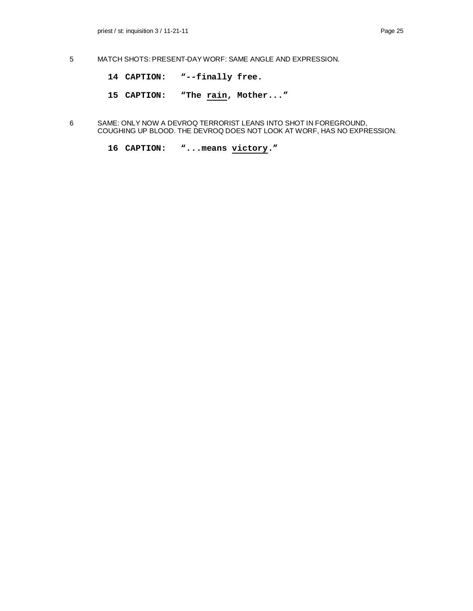- 5 MATCH SHOTS: PRESENT-DAY WORF: SAME ANGLE AND EXPRESSION.
	- **14 CAPTION: "--finally free.**
	- **15 CAPTION: "The rain, Mother..."**
- 6 SAME: ONLY NOW A DEVROQ TERRORIST LEANS INTO SHOT IN FOREGROUND, COUGHING UP BLOOD. THE DEVROQ DOES NOT LOOK AT WORF, HAS NO EXPRESSION.
	- **16 CAPTION: "...means victory."**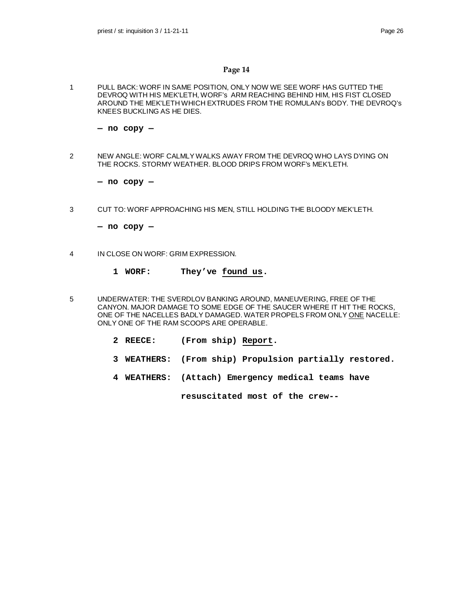1 PULL BACK: WORF IN SAME POSITION, ONLY NOW WE SEE WORF HAS GUTTED THE DEVROQ WITH HIS MEK'LETH, WORF's ARM REACHING BEHIND HIM, HIS FIST CLOSED AROUND THE MEK'LETH WHICH EXTRUDES FROM THE ROMULAN's BODY. THE DEVROQ's KNEES BUCKLING AS HE DIES.

**— no copy —**

2 NEW ANGLE: WORF CALMLY WALKS AWAY FROM THE DEVROQ WHO LAYS DYING ON THE ROCKS. STORMY WEATHER. BLOOD DRIPS FROM WORF's MEK'LETH.

**— no copy —**

3 CUT TO: WORF APPROACHING HIS MEN, STILL HOLDING THE BLOODY MEK'LETH.

**— no copy —**

- 4 IN CLOSE ON WORF: GRIM EXPRESSION.
	- **1 WORF: They've found us.**
- 5 UNDERWATER: THE SVERDLOV BANKING AROUND, MANEUVERING, FREE OF THE CANYON. MAJOR DAMAGE TO SOME EDGE OF THE SAUCER WHERE IT HIT THE ROCKS, ONE OF THE NACELLES BADLY DAMAGED. WATER PROPELS FROM ONLY ONE NACELLE: ONLY ONE OF THE RAM SCOOPS ARE OPERABLE.
	- **2 REECE: (From ship) Report.**
	- **3 WEATHERS: (From ship) Propulsion partially restored.**
	- **4 WEATHERS: (Attach) Emergency medical teams have**

**resuscitated most of the crew--**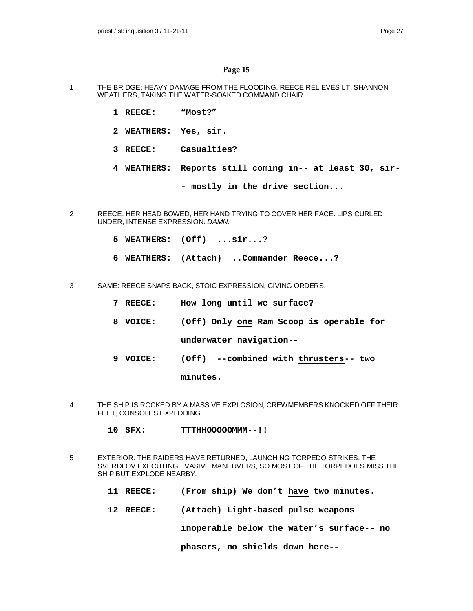- 1 THE BRIDGE: HEAVY DAMAGE FROM THE FLOODING. REECE RELIEVES LT. SHANNON WEATHERS, TAKING THE WATER-SOAKED COMMAND CHAIR.
	- **1 REECE: "Most?"**
	- **2 WEATHERS: Yes, sir.**
	- **3 REECE: Casualties?**
	- **4 WEATHERS: Reports still coming in-- at least 30, sir-**
		- **mostly in the drive section...**
- 2 REECE: HER HEAD BOWED, HER HAND TRYING TO COVER HER FACE. LIPS CURLED UNDER, INTENSE EXPRESSION. *DAMN.*
	- **5 WEATHERS: (Off) ...sir...?**
	- **6 WEATHERS: (Attach) ..Commander Reece...?**
- 3 SAME: REECE SNAPS BACK, STOIC EXPRESSION, GIVING ORDERS.
	- **7 REECE: How long until we surface?**
	- **8 VOICE: (Off) Only one Ram Scoop is operable for underwater navigation--**
	- **9 VOICE: (Off) --combined with thrusters-- two**

**minutes.**

- 4 THE SHIP IS ROCKED BY A MASSIVE EXPLOSION, CREWMEMBERS KNOCKED OFF THEIR FEET, CONSOLES EXPLODING.
	- **10 SFX: TTTHHOOOOOMMM--!!**
- 5 EXTERIOR: THE RAIDERS HAVE RETURNED, LAUNCHING TORPEDO STRIKES. THE SVERDLOV EXECUTING EVASIVE MANEUVERS, SO MOST OF THE TORPEDOES MISS THE SHIP BUT EXPLODE NEARBY.
	- **11 REECE: (From ship) We don't have two minutes.**
	- **12 REECE: (Attach) Light-based pulse weapons**

**inoperable below the water's surface-- no**

**phasers, no shields down here--**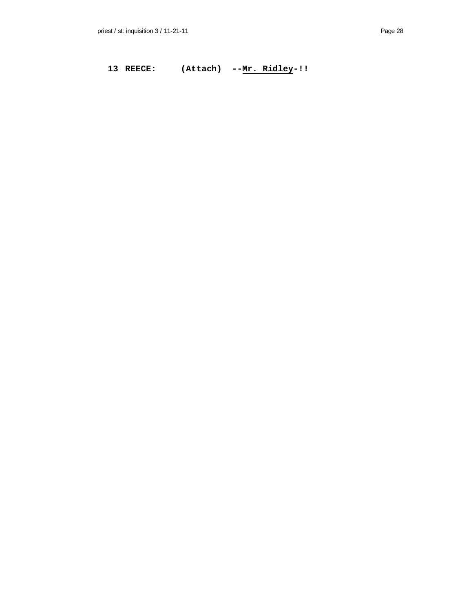13 REECE: (Attach) --<u>Mr. Ridley</u>-!!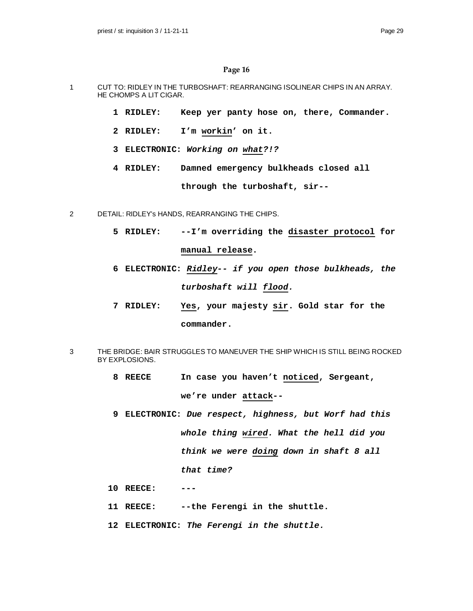- 1 CUT TO: RIDLEY IN THE TURBOSHAFT: REARRANGING ISOLINEAR CHIPS IN AN ARRAY. HE CHOMPS A LIT CIGAR.
	- **1 RIDLEY: Keep yer panty hose on, there, Commander.**
	- **2 RIDLEY: I'm workin' on it.**
	- **3 ELECTRONIC:** *Working on what?!?*
	- **4 RIDLEY: Damned emergency bulkheads closed all**

**through the turboshaft, sir--**

- 2 DETAIL: RIDLEY's HANDS, REARRANGING THE CHIPS.
	- **5 RIDLEY: --I'm overriding the disaster protocol for manual release.**
	- **6 ELECTRONIC:** *Ridley-- if you open those bulkheads, the turboshaft will flood.*
	- **7 RIDLEY: Yes, your majesty sir. Gold star for the commander.**
- 3 THE BRIDGE: BAIR STRUGGLES TO MANEUVER THE SHIP WHICH IS STILL BEING ROCKED BY EXPLOSIONS.
	- **8 REECE In case you haven't noticed, Sergeant, we're under attack--**
	- **9 ELECTRONIC:** *Due respect, highness, but Worf had this whole thing wired. What the hell did you think we were doing down in shaft 8 all that time?*
	- **10 REECE: ---**
	- **11 REECE: --the Ferengi in the shuttle.**
	- **12 ELECTRONIC:** *The Ferengi in the shuttle.*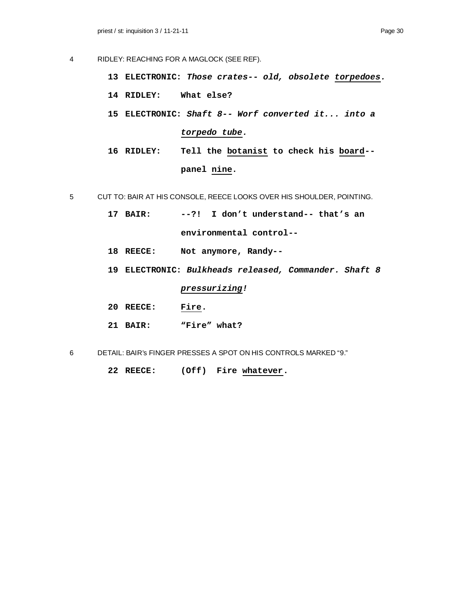- 4 RIDLEY: REACHING FOR A MAGLOCK (SEE REF).
	- **13 ELECTRONIC:** *Those crates-- old, obsolete torpedoes.*
	- **14 RIDLEY: What else?**
	- **15 ELECTRONIC:** *Shaft 8-- Worf converted it... into a torpedo tube.*
	- **16 RIDLEY: Tell the botanist to check his board- panel nine.**
- 5 CUT TO: BAIR AT HIS CONSOLE, REECE LOOKS OVER HIS SHOULDER, POINTING.
	- **17 BAIR: --?! I don't understand-- that's an environmental control--**
	- **18 REECE: Not anymore, Randy--**
	- **19 ELECTRONIC:** *Bulkheads released, Commander. Shaft 8*

*pressurizing!*

- **20 REECE: Fire.**
- **21 BAIR: "Fire" what?**
- 6 DETAIL: BAIR's FINGER PRESSES A SPOT ON HIS CONTROLS MARKED "9."

**22 REECE: (Off) Fire whatever.**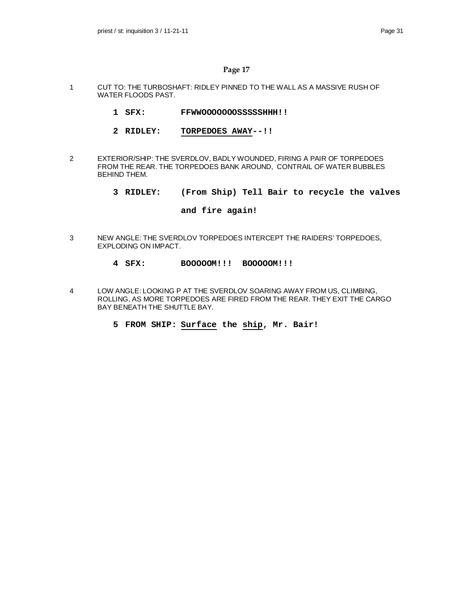- 1 CUT TO: THE TURBOSHAFT: RIDLEY PINNED TO THE WALL AS A MASSIVE RUSH OF WATER FLOODS PAST.
	- **1 SFX: FFWWOOOOOOOSSSSSHHH!!**
	- **2 RIDLEY: TORPEDOES AWAY--!!**
- 2 EXTERIOR/SHIP: THE SVERDLOV, BADLY WOUNDED, FIRING A PAIR OF TORPEDOES FROM THE REAR. THE TORPEDOES BANK AROUND, CONTRAIL OF WATER BUBBLES BEHIND THEM.
	- **3 RIDLEY: (From Ship) Tell Bair to recycle the valves**

#### **and fire again!**

- 3 NEW ANGLE: THE SVERDLOV TORPEDOES INTERCEPT THE RAIDERS' TORPEDOES, EXPLODING ON IMPACT.
	- **4 SFX: BOOOOOM!!! BOOOOOM!!!**
- 4 LOW ANGLE: LOOKING P AT THE SVERDLOV SOARING AWAY FROM US, CLIMBING, ROLLING, AS MORE TORPEDOES ARE FIRED FROM THE REAR. THEY EXIT THE CARGO BAY BENEATH THE SHUTTLE BAY.
	- **5 FROM SHIP: Surface the ship, Mr. Bair!**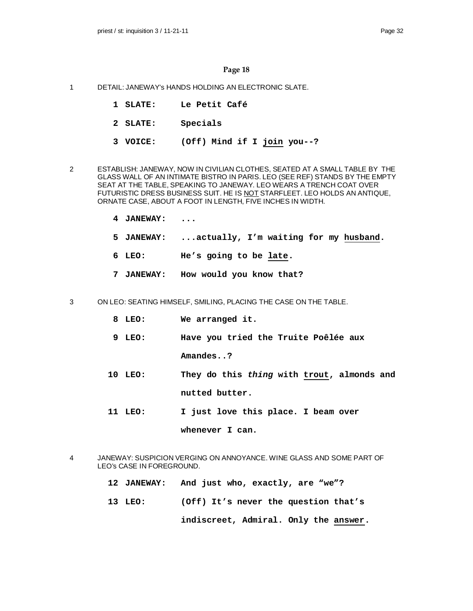- 1 DETAIL: JANEWAY's HANDS HOLDING AN ELECTRONIC SLATE.
	- **1 SLATE: Le Petit Café**
	- **2 SLATE: Specials**
	- **3 VOICE: (Off) Mind if I join you--?**
- 2 ESTABLISH: JANEWAY, NOW IN CIVILIAN CLOTHES, SEATED AT A SMALL TABLE BY THE GLASS WALL OF AN INTIMATE BISTRO IN PARIS. LEO (SEE REF) STANDS BY THE EMPTY SEAT AT THE TABLE, SPEAKING TO JANEWAY. LEO WEARS A TRENCH COAT OVER FUTURISTIC DRESS BUSINESS SUIT. HE IS NOT STARFLEET. LEO HOLDS AN ANTIQUE, ORNATE CASE, ABOUT A FOOT IN LENGTH, FIVE INCHES IN WIDTH.
	- **4 JANEWAY: ...**
	- **5 JANEWAY: ...actually, I'm waiting for my husband.**
	- **6 LEO: He's going to be late.**
	- **7 JANEWAY: How would you know that?**
- 3 ON LEO: SEATING HIMSELF, SMILING, PLACING THE CASE ON THE TABLE.
	- **8 LEO: We arranged it.**
	- **9 LEO: Have you tried the Truite Poêlée aux**

**Amandes..?**

- **10 LEO: They do this** *thing* **with trout, almonds and nutted butter.**
- **11 LEO: I just love this place. I beam over**

**whenever I can.**

- 4 JANEWAY: SUSPICION VERGING ON ANNOYANCE. WINE GLASS AND SOME PART OF LEO's CASE IN FOREGROUND.
	- **12 JANEWAY: And just who, exactly, are "we"?**
	- **13 LEO: (Off) It's never the question that's**

**indiscreet, Admiral. Only the answer.**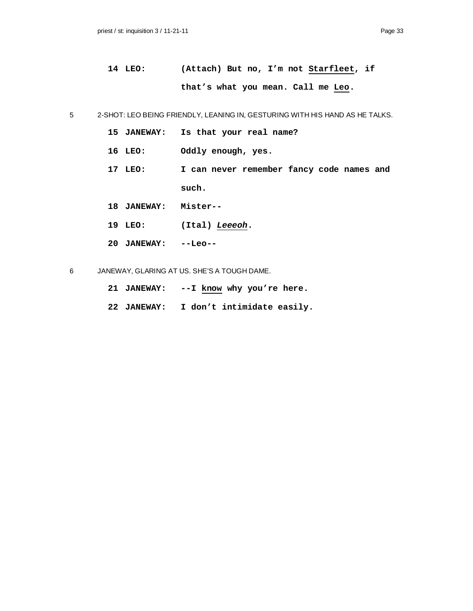```
14 LEO: (Attach) But no, I'm not Starfleet, if
 that's what you mean. Call me Leo.
```
5 2-SHOT: LEO BEING FRIENDLY, LEANING IN, GESTURING WITH HIS HAND AS HE TALKS.

- **15 JANEWAY: Is that your real name?**
- **16 LEO: Oddly enough, yes.**
- **17 LEO: I can never remember fancy code names and such.**
- **18 JANEWAY: Mister--**
- **19 LEO: (Ital)** *Leeeoh***.**
- **20 JANEWAY: --Leo--**

6 JANEWAY, GLARING AT US. SHE'S A TOUGH DAME.

- **21 JANEWAY: --I know why you're here.**
- **22 JANEWAY: I don't intimidate easily.**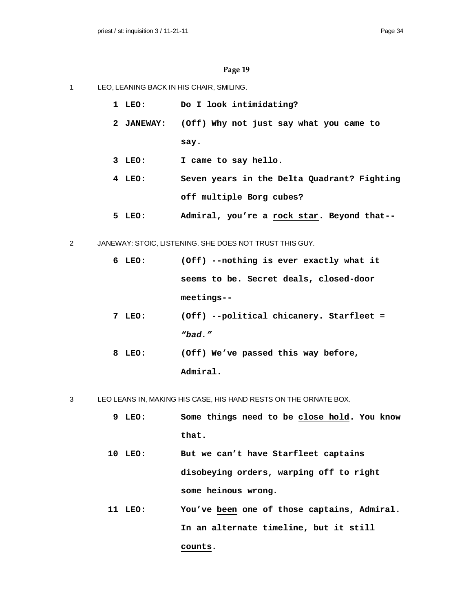- 1 LEO, LEANING BACK IN HIS CHAIR, SMILING.
	- **1 LEO: Do I look intimidating?**
	- **2 JANEWAY: (Off) Why not just say what you came to say.**
	- **3 LEO: I came to say hello.**
	- **4 LEO: Seven years in the Delta Quadrant? Fighting off multiple Borg cubes?**
	- **5 LEO: Admiral, you're a rock star. Beyond that--**
- 2 JANEWAY: STOIC, LISTENING. SHE DOES NOT TRUST THIS GUY.
	- **6 LEO: (Off) --nothing is ever exactly what it seems to be. Secret deals, closed-door meetings--**
	- **7 LEO: (Off) --political chicanery. Starfleet =** *"bad."*
	- **8 LEO: (Off) We've passed this way before, Admiral.**

3 LEO LEANS IN, MAKING HIS CASE, HIS HAND RESTS ON THE ORNATE BOX.

- **9 LEO: Some things need to be close hold. You know that.**
- **10 LEO: But we can't have Starfleet captains disobeying orders, warping off to right some heinous wrong.**
- **11 LEO: You've been one of those captains, Admiral. In an alternate timeline, but it still counts.**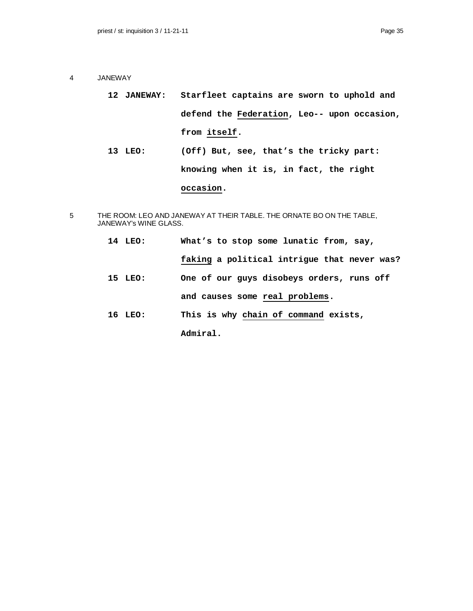- 4 JANEWAY
	- **12 JANEWAY: Starfleet captains are sworn to uphold and defend the Federation, Leo-- upon occasion, from itself.**
	- **13 LEO: (Off) But, see, that's the tricky part: knowing when it is, in fact, the right**

## **occasion.**

- 5 THE ROOM: LEO AND JANEWAY AT THEIR TABLE. THE ORNATE BO ON THE TABLE, JANEWAY's WINE GLASS.
	- **14 LEO: What's to stop some lunatic from, say, faking a political intrigue that never was? 15 LEO: One of our guys disobeys orders, runs off and causes some real problems. 16 LEO: This is why chain of command exists, Admiral.**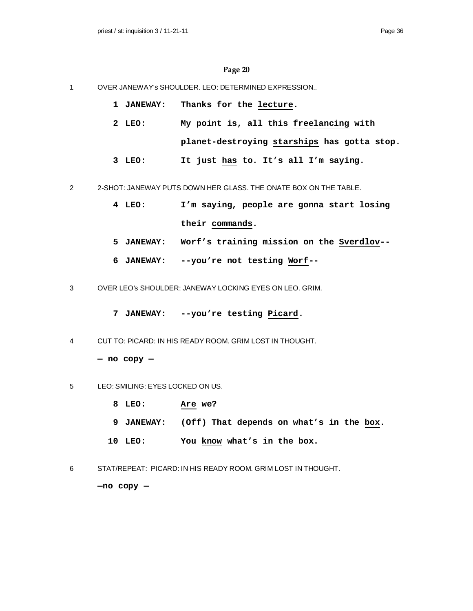1 OVER JANEWAY's SHOULDER. LEO: DETERMINED EXPRESSION..

| 1 JANEWAY: |  | Thanks for the lecture. |
|------------|--|-------------------------|
|            |  |                         |

- **2 LEO: My point is, all this freelancing with planet-destroying starships has gotta stop.**
- **3 LEO: It just has to. It's all I'm saying.**
- 2 2-SHOT: JANEWAY PUTS DOWN HER GLASS. THE ONATE BOX ON THE TABLE.
	- **4 LEO: I'm saying, people are gonna start losing their commands.**
	- **5 JANEWAY: Worf's training mission on the Sverdlov--**
	- **6 JANEWAY: --you're not testing Worf--**
- 3 OVER LEO's SHOULDER: JANEWAY LOCKING EYES ON LEO. GRIM.
	- **7 JANEWAY: --you're testing Picard.**
- 4 CUT TO: PICARD: IN HIS READY ROOM. GRIM LOST IN THOUGHT.

```
— no copy —
```
- 5 LEO: SMILING: EYES LOCKED ON US.
	- **8 LEO: Are we?**
	- **9 JANEWAY: (Off) That depends on what's in the box.**
	- **10 LEO: You know what's in the box.**
- 6 STAT/REPEAT: PICARD: IN HIS READY ROOM. GRIM LOST IN THOUGHT.

**—no copy —**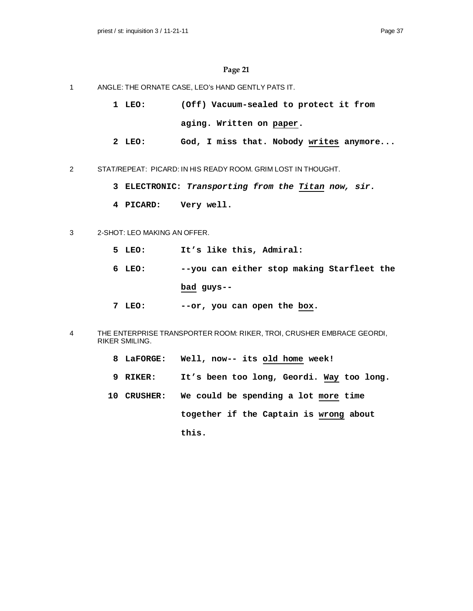- 1 ANGLE: THE ORNATE CASE, LEO's HAND GENTLY PATS IT.
	- **1 LEO: (Off) Vacuum-sealed to protect it from aging. Written on paper.**
	- **2 LEO: God, I miss that. Nobody writes anymore...**
- 2 STAT/REPEAT: PICARD: IN HIS READY ROOM. GRIM LOST IN THOUGHT.
	- **3 ELECTRONIC:** *Transporting from the Titan now, sir.*
	- **4 PICARD: Very well.**

#### 3 2-SHOT: LEO MAKING AN OFFER.

- **5 LEO: It's like this, Admiral:**
- **6 LEO: --you can either stop making Starfleet the bad guys--**
- **7 LEO: --or, you can open the box.**
- 4 THE ENTERPRISE TRANSPORTER ROOM: RIKER, TROI, CRUSHER EMBRACE GEORDI, RIKER SMILING.
	- **8 LaFORGE: Well, now-- its old home week!**
	- **9 RIKER: It's been too long, Geordi. Way too long.**
	- **10 CRUSHER: We could be spending a lot more time together if the Captain is wrong about this.**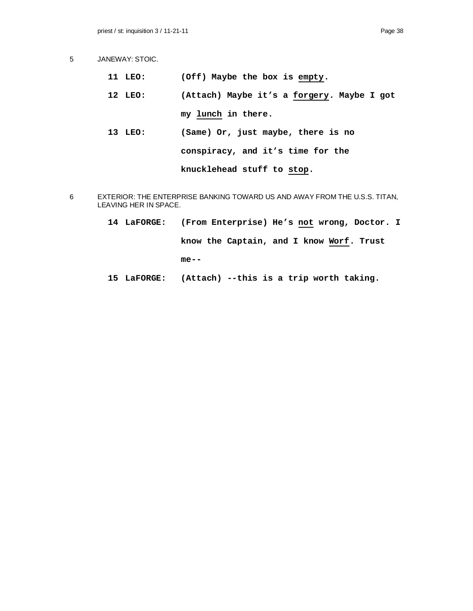- 5 JANEWAY: STOIC.
	- **11 LEO: (Off) Maybe the box is empty.**
	- **12 LEO: (Attach) Maybe it's a forgery. Maybe I got my lunch in there.**
	- **13 LEO: (Same) Or, just maybe, there is no conspiracy, and it's time for the knucklehead stuff to stop.**
- 6 EXTERIOR: THE ENTERPRISE BANKING TOWARD US AND AWAY FROM THE U.S.S. TITAN, LEAVING HER IN SPACE.
	- **14 LaFORGE: (From Enterprise) He's not wrong, Doctor. I know the Captain, and I know Worf. Trust me--**
	- **15 LaFORGE: (Attach) --this is a trip worth taking.**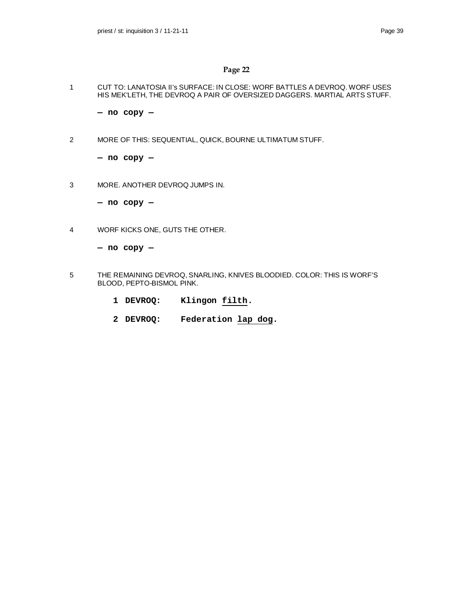1 CUT TO: LANATOSIA II's SURFACE: IN CLOSE: WORF BATTLES A DEVROQ. WORF USES HIS MEK'LETH, THE DEVROQ A PAIR OF OVERSIZED DAGGERS. MARTIAL ARTS STUFF.

**— no copy —**

2 MORE OF THIS: SEQUENTIAL, QUICK, BOURNE ULTIMATUM STUFF.

**— no copy —**

3 MORE. ANOTHER DEVROQ JUMPS IN.

**— no copy —**

4 WORF KICKS ONE, GUTS THE OTHER.

**— no copy —**

- 5 THE REMAINING DEVROQ, SNARLING, KNIVES BLOODIED. COLOR: THIS IS WORF'S BLOOD, PEPTO-BISMOL PINK.
	- **1 DEVROQ: Klingon filth.**
	- **2 DEVROQ: Federation lap dog.**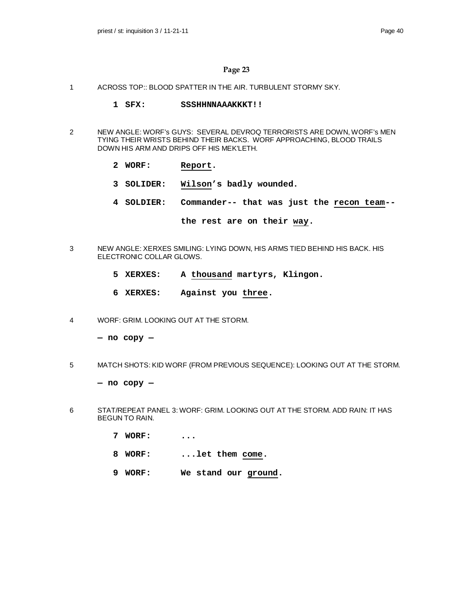- 1 ACROSS TOP:: BLOOD SPATTER IN THE AIR. TURBULENT STORMY SKY.
	- **1 SFX: SSSHHNNAAAKKKT!!**
- 2 NEW ANGLE: WORF's GUYS: SEVERAL DEVROQ TERRORISTS ARE DOWN, WORF's MEN TYING THEIR WRISTS BEHIND THEIR BACKS. WORF APPROACHING, BLOOD TRAILS DOWN HIS ARM AND DRIPS OFF HIS MEK'LETH.
	- **2 WORF: Report.**
	- **3 SOLIDER: Wilson's badly wounded.**
	- **4 SOLDIER: Commander-- that was just the recon team--**

**the rest are on their way.**

- 3 NEW ANGLE: XERXES SMILING: LYING DOWN, HIS ARMS TIED BEHIND HIS BACK. HIS ELECTRONIC COLLAR GLOWS.
	- **5 XERXES: A thousand martyrs, Klingon.**
	- **6 XERXES: Against you three.**
- 4 WORF: GRIM. LOOKING OUT AT THE STORM.

**— no copy —**

5 MATCH SHOTS: KID WORF (FROM PREVIOUS SEQUENCE): LOOKING OUT AT THE STORM.

**— no copy —**

- 6 STAT/REPEAT PANEL 3: WORF: GRIM. LOOKING OUT AT THE STORM. ADD RAIN: IT HAS BEGUN TO RAIN.
	- **7 WORF: ...**
	- **8 WORF: ...let them come.**
	- **9 WORF: We stand our ground.**